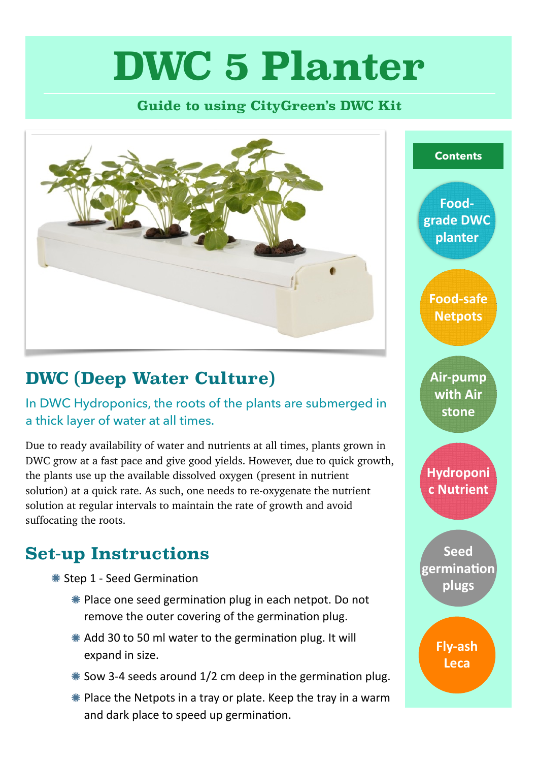# **DWC 5 Planter**

#### **Guide to using CityGreen's DWC Kit**



# **DWC (Deep Water Culture)**

In DWC Hydroponics, the roots of the plants are submerged in a thick layer of water at all times.

Due to ready availability of water and nutrients at all times, plants grown in DWC grow at a fast pace and give good yields. However, due to quick growth, the plants use up the available dissolved oxygen (present in nutrient solution) at a quick rate. As such, one needs to re-oxygenate the nutrient solution at regular intervals to maintain the rate of growth and avoid suffocating the roots.

## **Set-up Instructions**

- Step 1 - Seed Germination
	- **\*** Place one seed germination plug in each netpot. Do not remove the outer covering of the germination plug.
	- \* Add 30 to 50 ml water to the germination plug. It will expand in size.
	- $*$  Sow 3-4 seeds around 1/2 cm deep in the germination plug.
	- $*$  Place the Netpots in a tray or plate. Keep the tray in a warm and dark place to speed up germination.

**Contents**

**Foodgrade DWC planter**

**Food-safe Netpots**

**Air-pump with Air stone**

**Hydroponi c Nutrient**

**Seed germination plugs**

> **Fly-ash Leca**